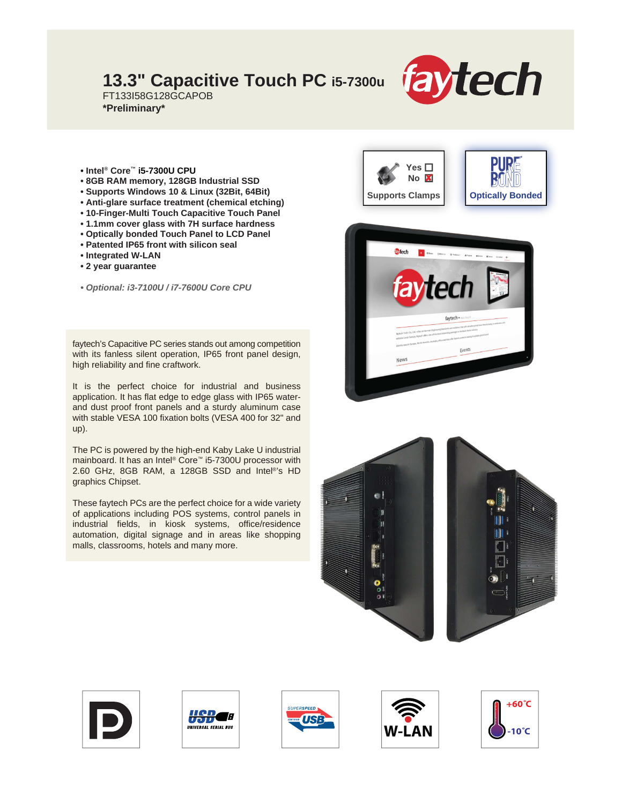## **13.3" Capacitive Touch PC i5-7300u**



FT133I58G128GCAPOB **\*Preliminary\***

- **Intel® Core™ i5-7300U CPU**
- **8GB RAM memory, 128GB Industrial SSD**
- **Supports Windows 10 & Linux (32Bit, 64Bit)**
- **Anti-glare surface treatment (chemical etching)**
- **10-Finger-Multi Touch Capacitive Touch Panel**
- **1.1mm cover glass with 7H surface hardness**
- **Optically bonded Touch Panel to LCD Panel**
- **Patented IP65 front with silicon seal**
- **Integrated W-LAN**
- **2 year guarantee**
- *Optional: i3-7100U / i7-7600U Core CPU*

faytech's Capacitive PC series stands out among competition with its fanless silent operation, IP65 front panel design, high reliability and fine craftwork.

It is the perfect choice for industrial and business application. It has flat edge to edge glass with IP65 waterand dust proof front panels and a sturdy aluminum case with stable VESA 100 fixation bolts (VESA 400 for 32" and up).

The PC is powered by the high-end Kaby Lake U industrial mainboard. It has an Intel® Core™ i5-7300U processor with 2.60 GHz, 8GB RAM, a 128GB SSD and Intel®'s HD graphics Chipset.

These faytech PCs are the perfect choice for a wide variety of applications including POS systems, control panels in industrial fields, in kiosk systems, office/residence automation, digital signage and in areas like shopping malls, classrooms, hotels and many more.